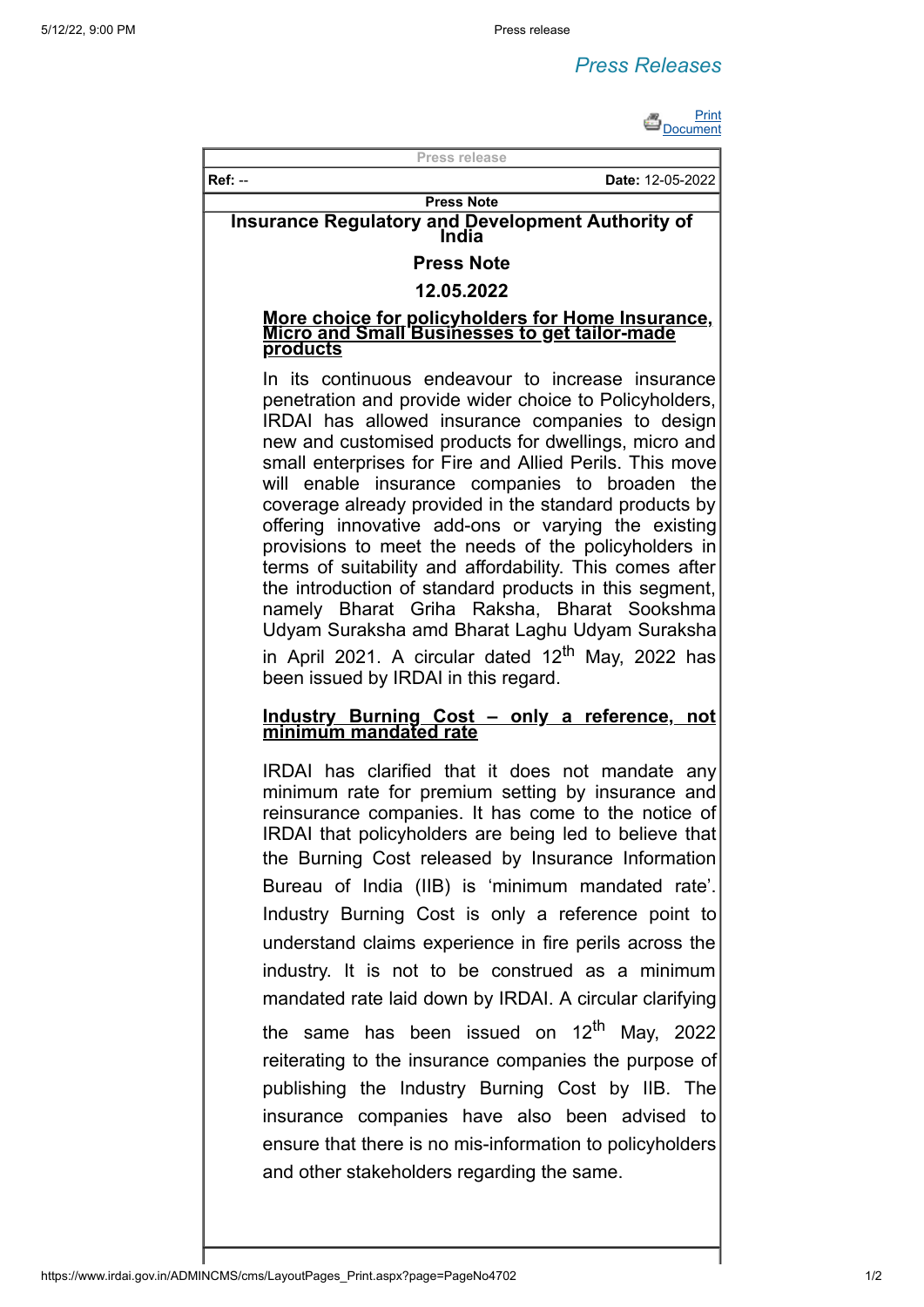## *Press Releases*

Print D<sub>[Document](javascript:__doPostBack()</sub>

**Press release**

**Ref:** -- **Date:** 12-05-2022

#### **Press Note Insurance Regulatory and Development Authority of India**

#### **Press Note**

**12.05.2022**

# **More choice for policyholders for Home Insurance, Micro and Small Businesses to get tailor-made products**

In its continuous endeavour to increase insurance penetration and provide wider choice to Policyholders, IRDAI has allowed insurance companies to design new and customised products for dwellings, micro and small enterprises for Fire and Allied Perils. This move will enable insurance companies to broaden the coverage already provided in the standard products by offering innovative add-ons or varying the existing provisions to meet the needs of the policyholders in terms of suitability and affordability. This comes after the introduction of standard products in this segment, namely Bharat Griha Raksha, Bharat Sookshma Udyam Suraksha amd Bharat Laghu Udyam Suraksha in April 2021. A circular dated  $12<sup>th</sup>$  May, 2022 has been issued by IRDAI in this regard.

### **Industry Burning Cost – only a reference, not minimum mandated rate**

IRDAI has clarified that it does not mandate any minimum rate for premium setting by insurance and reinsurance companies. It has come to the notice of IRDAI that policyholders are being led to believe that the Burning Cost released by Insurance Information Bureau of India (IIB) is 'minimum mandated rate'. Industry Burning Cost is only a reference point to understand claims experience in fire perils across the industry. It is not to be construed as a minimum mandated rate laid down by IRDAI. A circular clarifying the same has been issued on  $12<sup>th</sup>$  May, 2022 reiterating to the insurance companies the purpose of publishing the Industry Burning Cost by IIB. The insurance companies have also been advised to ensure that there is no mis-information to policyholders and other stakeholders regarding the same.